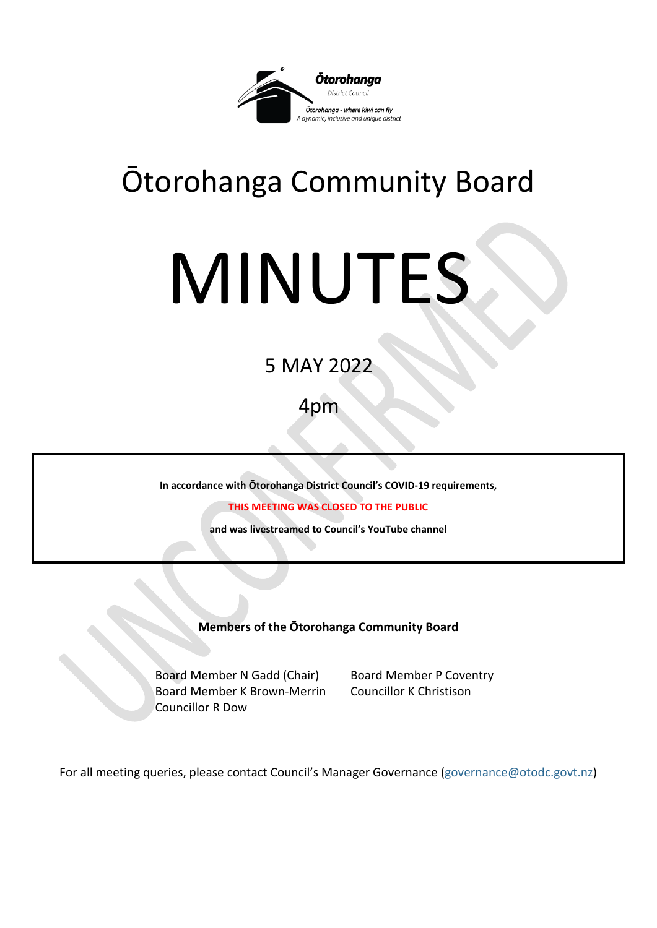

## Ōtorohanga Community Board

# MINUTES

### 5 MAY 2022

4pm

**In accordance with Ōtorohanga District Council's COVID-19 requirements,** 

**THIS MEETING WAS CLOSED TO THE PUBLIC**

**and was livestreamed to Council's YouTube channel** 

**Members of the Ōtorohanga Community Board**

Board Member N Gadd (Chair) Board Member P Coventry Board Member K Brown-Merrin Councillor K Christison Councillor R Dow

For all meeting queries, please contact Council's Manager Governance [\(governance@otodc.govt.nz\)](mailto:governance@otodc.govt.nz)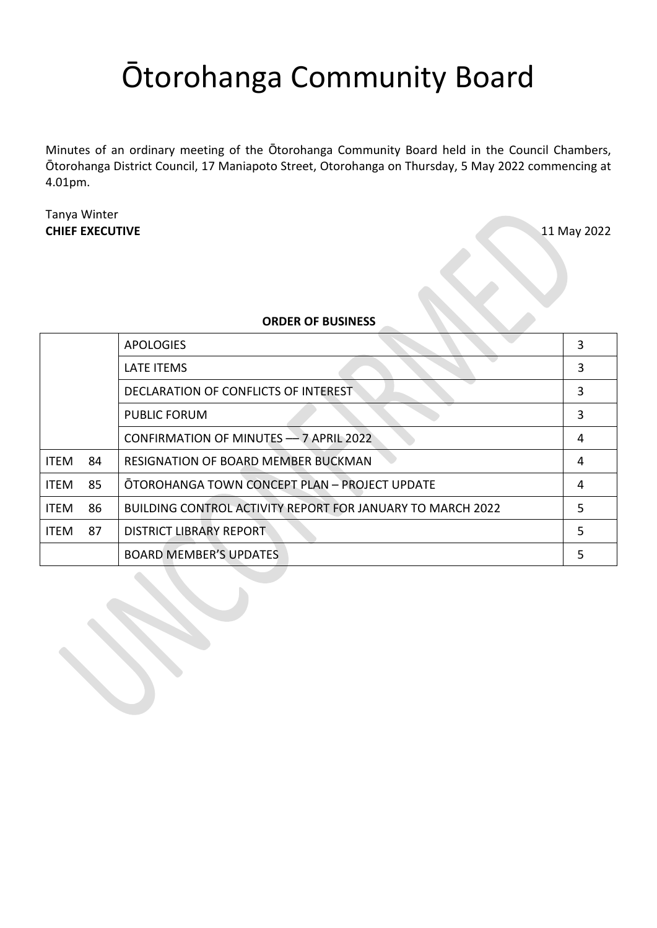## Ōtorohanga Community Board

Minutes of an ordinary meeting of the Ōtorohanga Community Board held in the Council Chambers, Ōtorohanga District Council, 17 Maniapoto Street, Otorohanga on Thursday, 5 May 2022 commencing at 4.01pm.

#### Tanya Winter **CHIEF EXECUTIVE** 11 May 2022

#### **ORDER OF BUSINESS**

|             |    | <b>APOLOGIES</b>                                                  | 3 |
|-------------|----|-------------------------------------------------------------------|---|
|             |    | <b>LATE ITEMS</b>                                                 | 3 |
|             |    | DECLARATION OF CONFLICTS OF INTEREST                              | 3 |
|             |    | <b>PUBLIC FORUM</b>                                               | 3 |
|             |    | CONFIRMATION OF MINUTES - 7 APRIL 2022                            | 4 |
| <b>ITEM</b> | 84 | <b>RESIGNATION OF BOARD MEMBER BUCKMAN</b>                        | 4 |
| <b>ITEM</b> | 85 | OTOROHANGA TOWN CONCEPT PLAN - PROJECT UPDATE                     | 4 |
| <b>ITEM</b> | 86 | <b>BUILDING CONTROL ACTIVITY REPORT FOR JANUARY TO MARCH 2022</b> | 5 |
| <b>ITEM</b> | 87 | <b>DISTRICT LIBRARY REPORT</b>                                    | 5 |
|             |    | <b>BOARD MEMBER'S UPDATES</b>                                     | 5 |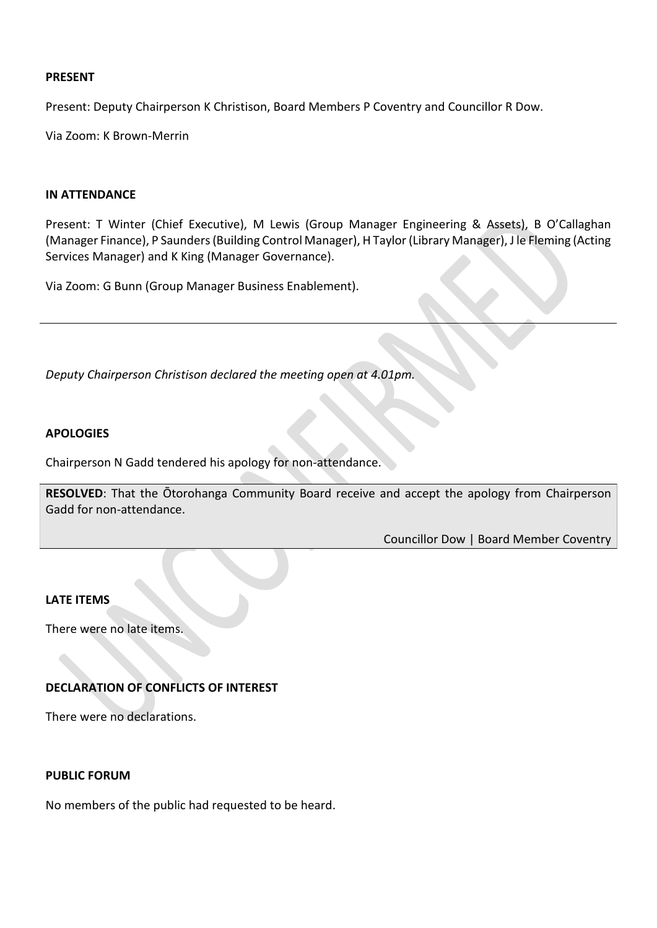#### **PRESENT**

Present: Deputy Chairperson K Christison, Board Members P Coventry and Councillor R Dow.

Via Zoom: K Brown-Merrin

#### **IN ATTENDANCE**

Present: T Winter (Chief Executive), M Lewis (Group Manager Engineering & Assets), B O'Callaghan (Manager Finance), P Saunders (Building Control Manager), H Taylor (Library Manager), J le Fleming (Acting Services Manager) and K King (Manager Governance).

Via Zoom: G Bunn (Group Manager Business Enablement).

*Deputy Chairperson Christison declared the meeting open at 4.01pm.*

#### <span id="page-2-0"></span>**APOLOGIES**

Chairperson N Gadd tendered his apology for non-attendance.

**RESOLVED**: That the Ōtorohanga Community Board receive and accept the apology from Chairperson Gadd for non-attendance.

Councillor Dow | Board Member Coventry

#### <span id="page-2-1"></span>**LATE ITEMS**

There were no late items.

#### <span id="page-2-2"></span>**DECLARATION OF CONFLICTS OF INTEREST**

There were no declarations.

#### <span id="page-2-3"></span>**PUBLIC FORUM**

No members of the public had requested to be heard.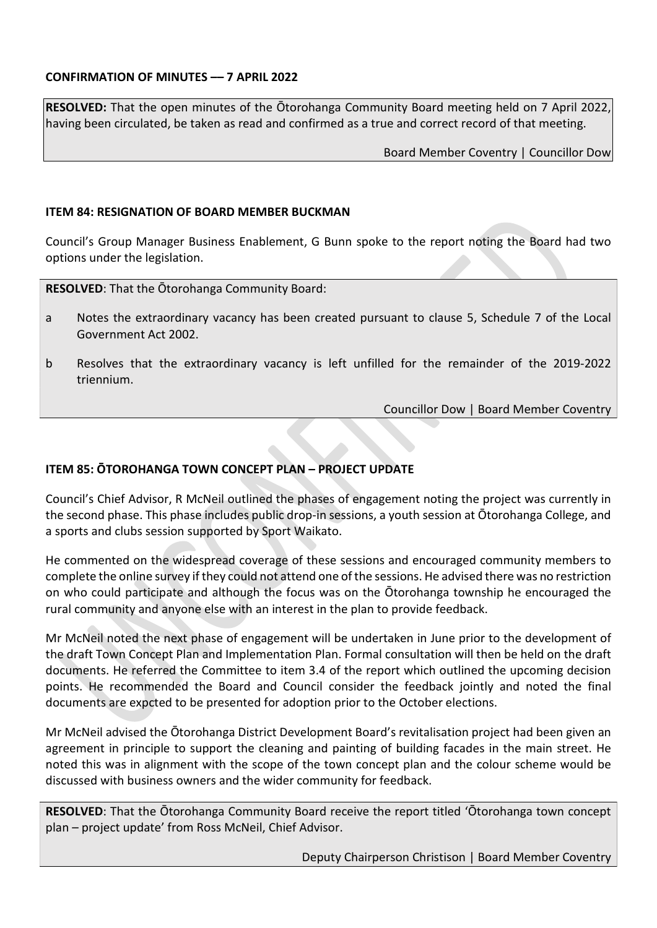#### <span id="page-3-0"></span>**CONFIRMATION OF MINUTES –– 7 APRIL 2022**

**RESOLVED:** That the open minutes of the Ōtorohanga Community Board meeting held on 7 April 2022, having been circulated, be taken as read and confirmed as a true and correct record of that meeting.

Board Member Coventry | Councillor Dow

#### <span id="page-3-1"></span>**ITEM 84: RESIGNATION OF BOARD MEMBER BUCKMAN**

Council's Group Manager Business Enablement, G Bunn spoke to the report noting the Board had two options under the legislation.

**RESOLVED**: That the Ōtorohanga Community Board:

- a Notes the extraordinary vacancy has been created pursuant to clause 5, Schedule 7 of the Local Government Act 2002.
- b Resolves that the extraordinary vacancy is left unfilled for the remainder of the 2019-2022 triennium.

Councillor Dow | Board Member Coventry

#### <span id="page-3-2"></span>**ITEM 85: ŌTOROHANGA TOWN CONCEPT PLAN – PROJECT UPDATE**

Council's Chief Advisor, R McNeil outlined the phases of engagement noting the project was currently in the second phase. This phase includes public drop-in sessions, a youth session at Ōtorohanga College, and a sports and clubs session supported by Sport Waikato.

He commented on the widespread coverage of these sessions and encouraged community members to complete the online survey if they could not attend one of the sessions. He advised there was no restriction on who could participate and although the focus was on the Ōtorohanga township he encouraged the rural community and anyone else with an interest in the plan to provide feedback.

Mr McNeil noted the next phase of engagement will be undertaken in June prior to the development of the draft Town Concept Plan and Implementation Plan. Formal consultation will then be held on the draft documents. He referred the Committee to item 3.4 of the report which outlined the upcoming decision points. He recommended the Board and Council consider the feedback jointly and noted the final documents are expcted to be presented for adoption prior to the October elections.

Mr McNeil advised the Ōtorohanga District Development Board's revitalisation project had been given an agreement in principle to support the cleaning and painting of building facades in the main street. He noted this was in alignment with the scope of the town concept plan and the colour scheme would be discussed with business owners and the wider community for feedback.

**RESOLVED**: That the Ōtorohanga Community Board receive the report titled 'Ōtorohanga town concept plan – project update' from Ross McNeil, Chief Advisor.

Deputy Chairperson Christison | Board Member Coventry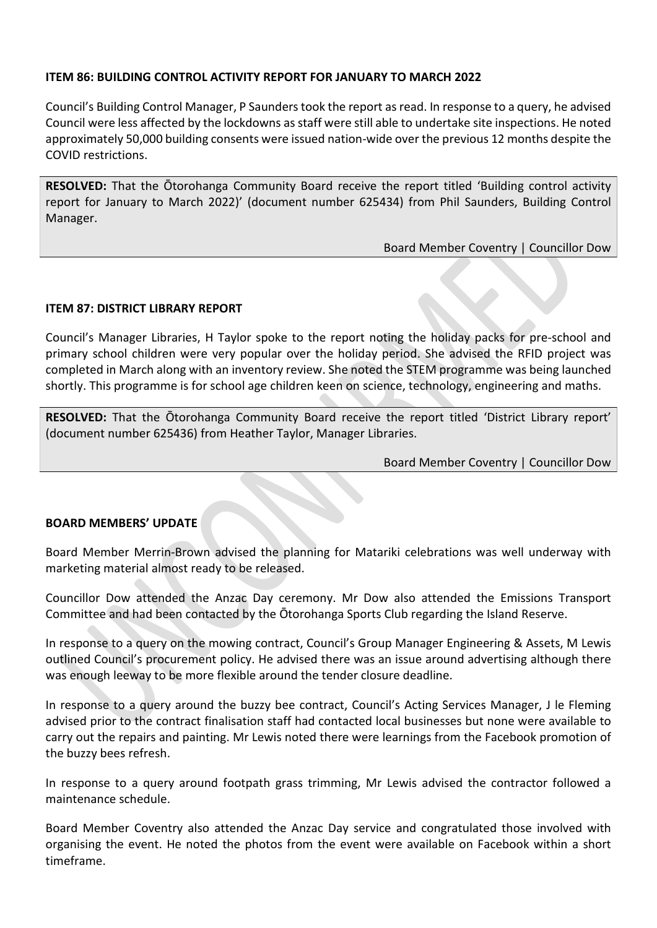#### <span id="page-4-0"></span>**ITEM 86: BUILDING CONTROL ACTIVITY REPORT FOR JANUARY TO MARCH 2022**

Council's Building Control Manager, P Saunders took the report as read. In response to a query, he advised Council were less affected by the lockdowns as staff were still able to undertake site inspections. He noted approximately 50,000 building consents were issued nation-wide over the previous 12 months despite the COVID restrictions.

**RESOLVED:** That the Ōtorohanga Community Board receive the report titled 'Building control activity report for January to March 2022)' (document number 625434) from Phil Saunders, Building Control Manager.

Board Member Coventry | Councillor Dow

#### <span id="page-4-1"></span>**ITEM 87: DISTRICT LIBRARY REPORT**

Council's Manager Libraries, H Taylor spoke to the report noting the holiday packs for pre-school and primary school children were very popular over the holiday period. She advised the RFID project was completed in March along with an inventory review. She noted the STEM programme was being launched shortly. This programme is for school age children keen on science, technology, engineering and maths.

**RESOLVED:** That the Ōtorohanga Community Board receive the report titled 'District Library report' (document number 625436) from Heather Taylor, Manager Libraries.

Board Member Coventry | Councillor Dow

#### <span id="page-4-2"></span>**BOARD MEMBERS' UPDATE**

Board Member Merrin-Brown advised the planning for Matariki celebrations was well underway with marketing material almost ready to be released.

Councillor Dow attended the Anzac Day ceremony. Mr Dow also attended the Emissions Transport Committee and had been contacted by the Ōtorohanga Sports Club regarding the Island Reserve.

In response to a query on the mowing contract, Council's Group Manager Engineering & Assets, M Lewis outlined Council's procurement policy. He advised there was an issue around advertising although there was enough leeway to be more flexible around the tender closure deadline.

In response to a query around the buzzy bee contract, Council's Acting Services Manager, J le Fleming advised prior to the contract finalisation staff had contacted local businesses but none were available to carry out the repairs and painting. Mr Lewis noted there were learnings from the Facebook promotion of the buzzy bees refresh.

In response to a query around footpath grass trimming, Mr Lewis advised the contractor followed a maintenance schedule.

Board Member Coventry also attended the Anzac Day service and congratulated those involved with organising the event. He noted the photos from the event were available on Facebook within a short timeframe.